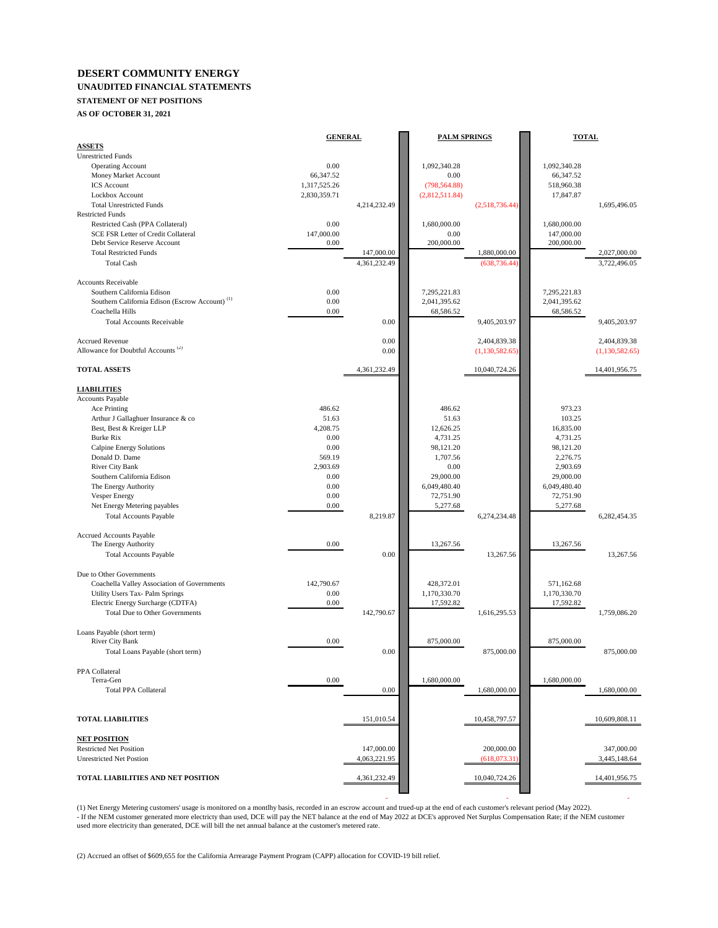# **DESERT COMMUNITY ENERGY**

### **UNAUDITED FINANCIAL STATEMENTS**

## **STATEMENT OF NET POSITIONS**

**AS OF OCTOBER 31, 2021**

|                                                            | <b>GENERAL</b> |              | <b>PALM SPRINGS</b> |                | <b>TOTAL</b> |                |
|------------------------------------------------------------|----------------|--------------|---------------------|----------------|--------------|----------------|
| <b>ASSETS</b>                                              |                |              |                     |                |              |                |
| <b>Unrestricted Funds</b>                                  |                |              |                     |                |              |                |
| <b>Operating Account</b>                                   | 0.00           |              | 1,092,340.28        |                | 1,092,340.28 |                |
| Money Market Account                                       | 66,347.52      |              | 0.00                |                | 66,347.52    |                |
| <b>ICS</b> Account                                         | 1,317,525.26   |              | (798, 564.88)       |                | 518,960.38   |                |
| Lockbox Account                                            | 2,830,359.71   |              | (2,812,511.84)      |                | 17,847.87    |                |
| <b>Total Unrestricted Funds</b>                            |                | 4,214,232.49 |                     | (2,518,736.44) |              | 1,695,496.05   |
| <b>Restricted Funds</b>                                    |                |              |                     |                |              |                |
| Restricted Cash (PPA Collateral)                           | 0.00           |              | 1,680,000.00        |                | 1,680,000.00 |                |
| SCE FSR Letter of Credit Collateral                        | 147,000.00     |              | 0.00                |                | 147,000.00   |                |
| Debt Service Reserve Account                               | 0.00           |              | 200,000.00          |                | 200,000.00   |                |
| <b>Total Restricted Funds</b>                              |                | 147,000.00   |                     | 1,880,000.00   |              | 2,027,000.00   |
| <b>Total Cash</b>                                          |                | 4,361,232.49 |                     | (638, 736.44)  |              | 3,722,496.05   |
| <b>Accounts Receivable</b>                                 |                |              |                     |                |              |                |
| Southern California Edison                                 | 0.00           |              | 7,295,221.83        |                | 7,295,221.83 |                |
| Southern California Edison (Escrow Account) <sup>(1)</sup> | 0.00           |              | 2,041,395.62        |                | 2,041,395.62 |                |
| Coachella Hills                                            | 0.00           |              | 68,586.52           |                | 68,586.52    |                |
| <b>Total Accounts Receivable</b>                           |                | 0.00         |                     | 9,405,203.97   |              | 9,405,203.97   |
|                                                            |                |              |                     |                |              |                |
| <b>Accrued Revenue</b>                                     |                | 0.00         |                     | 2,404,839.38   |              | 2,404,839.38   |
| Allowance for Doubtful Accounts <sup>(2)</sup>             |                | 0.00         |                     | (1,130,582.65) |              | (1,130,582.65) |
|                                                            |                |              |                     |                |              |                |
| <b>TOTAL ASSETS</b>                                        |                | 4,361,232.49 |                     | 10,040,724.26  |              | 14,401,956.75  |
|                                                            |                |              |                     |                |              |                |
| <b>LIABILITIES</b>                                         |                |              |                     |                |              |                |
| Accounts Payable                                           |                |              |                     |                |              |                |
| Ace Printing                                               | 486.62         |              | 486.62              |                | 973.23       |                |
| Arthur J Gallaghuer Insurance & co                         | 51.63          |              | 51.63               |                | 103.25       |                |
| Best, Best & Kreiger LLP                                   | 4,208.75       |              | 12,626.25           |                | 16,835.00    |                |
| <b>Burke Rix</b>                                           | 0.00           |              | 4,731.25            |                | 4,731.25     |                |
| Calpine Energy Solutions                                   | 0.00           |              | 98,121.20           |                | 98,121.20    |                |
| Donald D. Dame                                             | 569.19         |              | 1,707.56            |                | 2,276.75     |                |
| River City Bank                                            | 2,903.69       |              | 0.00                |                | 2,903.69     |                |
| Southern California Edison                                 | 0.00           |              | 29,000.00           |                | 29,000.00    |                |
| The Energy Authority                                       | 0.00           |              | 6,049,480.40        |                | 6,049,480.40 |                |
| <b>Vesper Energy</b>                                       | 0.00           |              | 72,751.90           |                | 72,751.90    |                |
| Net Energy Metering payables                               | 0.00           |              | 5,277.68            |                | 5,277.68     |                |
| <b>Total Accounts Payable</b>                              |                | 8,219.87     |                     | 6,274,234.48   |              | 6,282,454.35   |
|                                                            |                |              |                     |                |              |                |
| Accrued Accounts Payable                                   |                |              |                     |                |              |                |
| The Energy Authority                                       | 0.00           |              | 13,267.56           |                | 13,267.56    |                |
| <b>Total Accounts Payable</b>                              |                | 0.00         |                     | 13,267.56      |              | 13,267.56      |
| Due to Other Governments                                   |                |              |                     |                |              |                |
| Coachella Valley Association of Governments                | 142,790.67     |              | 428,372.01          |                | 571,162.68   |                |
| Utility Users Tax- Palm Springs                            | 0.00           |              | 1,170,330.70        |                | 1,170,330.70 |                |
| Electric Energy Surcharge (CDTFA)                          | 0.00           |              | 17,592.82           |                | 17,592.82    |                |
| <b>Total Due to Other Governments</b>                      |                | 142,790.67   |                     | 1,616,295.53   |              | 1,759,086.20   |
|                                                            |                |              |                     |                |              |                |
| Loans Payable (short term)                                 |                |              |                     |                |              |                |
| River City Bank                                            | 0.00           |              | 875,000.00          |                | 875,000.00   |                |
| Total Loans Payable (short term)                           |                | 0.00         |                     | 875,000.00     |              | 875,000.00     |
|                                                            |                |              |                     |                |              |                |
| PPA Collateral                                             |                |              |                     |                |              |                |
| Terra-Gen                                                  | 0.00           |              | 1,680,000.00        |                | 1,680,000.00 |                |
| <b>Total PPA Collateral</b>                                |                | 0.00         |                     | 1,680,000.00   |              | 1,680,000.00   |
|                                                            |                |              |                     |                |              |                |
|                                                            |                |              |                     |                |              |                |
| <b>TOTAL LIABILITIES</b>                                   |                | 151,010.54   |                     | 10,458,797.57  |              | 10,609,808.11  |
| <b>NET POSITION</b>                                        |                |              |                     |                |              |                |
| <b>Restricted Net Position</b>                             |                | 147,000.00   |                     | 200,000.00     |              | 347,000.00     |
| <b>Unrestricted Net Postion</b>                            |                | 4,063,221.95 |                     | (618,073,31)   |              | 3,445,148.64   |
|                                                            |                |              |                     |                |              |                |
| TOTAL LIABILITIES AND NET POSITION                         |                | 4,361,232.49 |                     | 10,040,724.26  |              | 14,401,956.75  |
|                                                            |                |              |                     |                |              |                |

(1) Net Energy Metering customers' usage is monitored on a montlhy basis, recorded in an escrow account and trued-up at the end of each customer's relevant period (May 2022).<br>- If the NEM customer generated more electricty used more electricity than generated, DCE will bill the net annual balance at the customer's metered rate.

- - -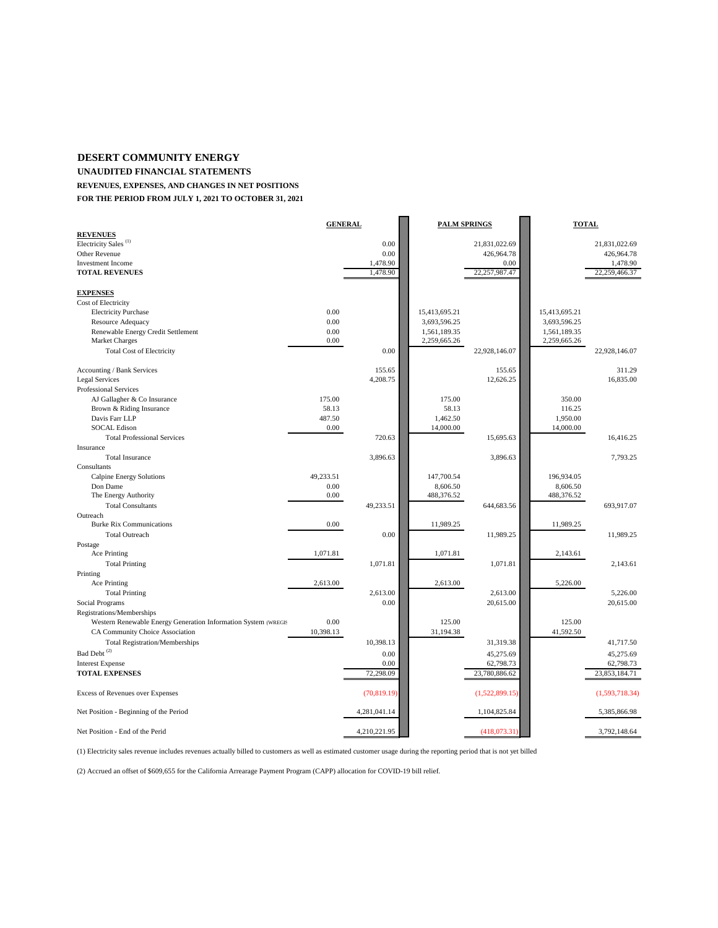#### **DESERT COMMUNITY ENERGY**

**UNAUDITED FINANCIAL STATEMENTS**

**REVENUES, EXPENSES, AND CHANGES IN NET POSITIONS**

**FOR THE PERIOD FROM JULY 1, 2021 TO OCTOBER 31, 2021**

|                                                                | <b>GENERAL</b> |              | <b>PALM SPRINGS</b> |                             | <b>TOTAL</b>  |                             |
|----------------------------------------------------------------|----------------|--------------|---------------------|-----------------------------|---------------|-----------------------------|
| <b>REVENUES</b><br>Electricity Sales <sup>(1)</sup>            |                |              |                     |                             |               |                             |
| Other Revenue                                                  |                | 0.00<br>0.00 |                     | 21,831,022.69<br>426,964.78 |               | 21,831,022.69<br>426,964.78 |
| <b>Investment Income</b>                                       |                | 1,478.90     |                     | 0.00                        |               | 1,478.90                    |
| <b>TOTAL REVENUES</b>                                          |                | 1,478.90     |                     | 22,257,987.47               |               | 22,259,466.37               |
|                                                                |                |              |                     |                             |               |                             |
| <b>EXPENSES</b>                                                |                |              |                     |                             |               |                             |
| Cost of Electricity                                            |                |              |                     |                             |               |                             |
| <b>Electricity Purchase</b>                                    | 0.00           |              | 15,413,695.21       |                             | 15,413,695.21 |                             |
| Resource Adequacy                                              | 0.00           |              | 3,693,596.25        |                             | 3,693,596.25  |                             |
| Renewable Energy Credit Settlement                             | 0.00           |              | 1,561,189.35        |                             | 1,561,189.35  |                             |
| Market Charges                                                 | 0.00           |              | 2,259,665.26        |                             | 2,259,665.26  |                             |
| <b>Total Cost of Electricity</b>                               |                | 0.00         |                     | 22,928,146.07               |               | 22,928,146.07               |
|                                                                |                |              |                     |                             |               |                             |
| Accounting / Bank Services                                     |                | 155.65       |                     | 155.65                      |               | 311.29                      |
| <b>Legal Services</b>                                          |                | 4,208.75     |                     | 12,626.25                   |               | 16,835.00                   |
| Professional Services                                          |                |              |                     |                             |               |                             |
| AJ Gallagher & Co Insurance                                    | 175.00         |              | 175.00              |                             | 350.00        |                             |
| Brown & Riding Insurance                                       | 58.13          |              | 58.13               |                             | 116.25        |                             |
| Davis Farr LLP                                                 | 487.50         |              | 1,462.50            |                             | 1,950.00      |                             |
| <b>SOCAL Edison</b>                                            | 0.00           |              | 14,000.00           |                             | 14,000.00     |                             |
| <b>Total Professional Services</b>                             |                | 720.63       |                     | 15,695.63                   |               | 16,416.25                   |
| Insurance                                                      |                |              |                     |                             |               |                             |
| <b>Total Insurance</b>                                         |                | 3,896.63     |                     | 3,896.63                    |               | 7,793.25                    |
| Consultants                                                    |                |              |                     |                             |               |                             |
| Calpine Energy Solutions                                       | 49,233.51      |              | 147,700.54          |                             | 196,934.05    |                             |
| Don Dame                                                       | 0.00           |              | 8,606.50            |                             | 8,606.50      |                             |
| The Energy Authority                                           | 0.00           |              | 488,376.52          |                             | 488,376.52    |                             |
| <b>Total Consultants</b>                                       |                | 49,233.51    |                     | 644,683.56                  |               | 693,917.07                  |
| Outreach                                                       |                |              |                     |                             |               |                             |
| <b>Burke Rix Communications</b>                                | 0.00           |              | 11,989.25           |                             | 11,989.25     |                             |
| <b>Total Outreach</b>                                          |                | 0.00         |                     | 11,989.25                   |               | 11,989.25                   |
| Postage<br>Ace Printing                                        | 1,071.81       |              | 1,071.81            |                             | 2,143.61      |                             |
|                                                                |                | 1,071.81     |                     |                             |               | 2,143.61                    |
| <b>Total Printing</b>                                          |                |              |                     | 1,071.81                    |               |                             |
| Printing<br>Ace Printing                                       | 2,613.00       |              | 2,613.00            |                             | 5,226.00      |                             |
| <b>Total Printing</b>                                          |                | 2,613.00     |                     | 2,613.00                    |               | 5,226.00                    |
| Social Programs                                                |                | 0.00         |                     | 20,615.00                   |               | 20,615.00                   |
| Registrations/Memberships                                      |                |              |                     |                             |               |                             |
| Western Renewable Energy Generation Information System (WREGIS | 0.00           |              | 125.00              |                             | 125.00        |                             |
| CA Community Choice Association                                | 10,398.13      |              | 31,194.38           |                             | 41,592.50     |                             |
| <b>Total Registration/Memberships</b>                          |                | 10,398.13    |                     | 31,319.38                   |               | 41,717.50                   |
| Bad Debt <sup>(2)</sup>                                        |                | 0.00         |                     | 45,275.69                   |               | 45,275.69                   |
| <b>Interest Expense</b>                                        |                | 0.00         |                     | 62,798.73                   |               | 62,798.73                   |
| <b>TOTAL EXPENSES</b>                                          |                | 72,298.09    |                     | 23,780,886.62               |               | 23,853,184.71               |
|                                                                |                |              |                     |                             |               |                             |
| <b>Excess of Revenues over Expenses</b>                        |                | (70, 819.19) |                     | (1,522,899.15)              |               | (1,593,718.34)              |
| Net Position - Beginning of the Period                         |                | 4,281,041.14 |                     | 1,104,825.84                |               | 5,385,866.98                |
| Net Position - End of the Perid                                |                | 4,210,221.95 |                     | (418,073,31)                |               | 3.792.148.64                |

(1) Electricity sales revenue includes revenues actually billed to customers as well as estimated customer usage during the reporting period that is not yet billed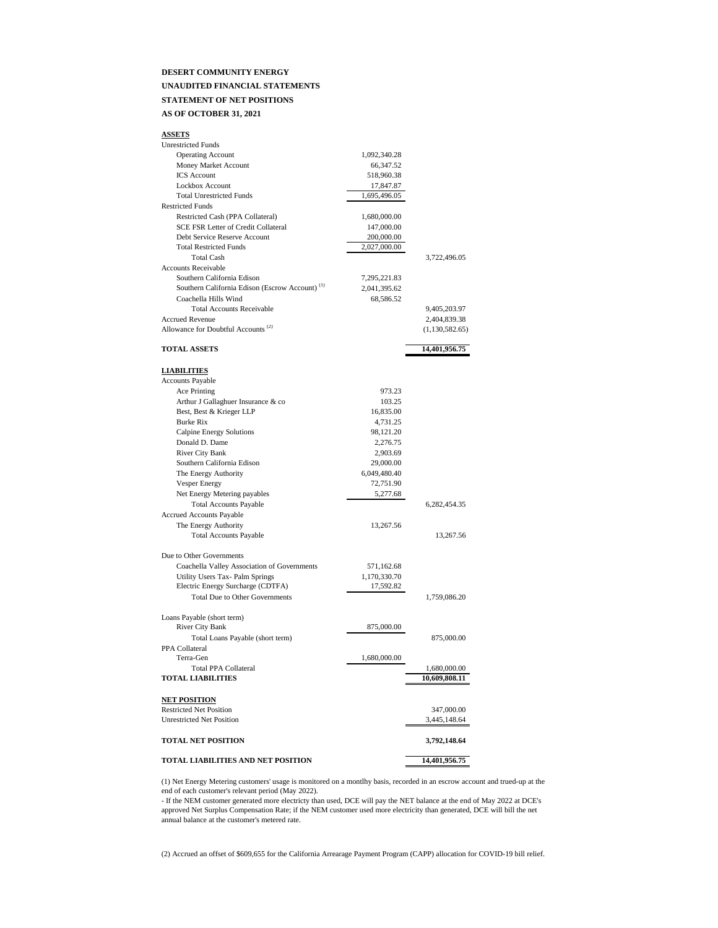#### **DESERT COMMUNITY ENERGY UNAUDITED FINANCIAL STATEMENTS**

#### **STATEMENT OF NET POSITIONS**

#### **AS OF OCTOBER 31, 2021**

| <b>ASSETS</b>                                                      |              |                |
|--------------------------------------------------------------------|--------------|----------------|
| <b>Unrestricted Funds</b>                                          |              |                |
| <b>Operating Account</b>                                           | 1,092,340.28 |                |
| Money Market Account                                               | 66,347.52    |                |
| <b>ICS</b> Account                                                 | 518,960.38   |                |
| Lockbox Account                                                    | 17,847.87    |                |
| <b>Total Unrestricted Funds</b>                                    | 1,695,496.05 |                |
| <b>Restricted Funds</b>                                            |              |                |
| Restricted Cash (PPA Collateral)                                   | 1,680,000.00 |                |
| <b>SCE FSR Letter of Credit Collateral</b>                         | 147,000.00   |                |
| Debt Service Reserve Account                                       | 200,000.00   |                |
| <b>Total Restricted Funds</b>                                      | 2,027,000.00 |                |
| <b>Total Cash</b>                                                  |              | 3,722,496.05   |
| <b>Accounts Receivable</b>                                         |              |                |
| Southern California Edison                                         | 7,295,221.83 |                |
| Southern California Edison (Escrow Account) <sup>(1)</sup>         | 2,041,395.62 |                |
| Coachella Hills Wind                                               | 68,586.52    |                |
| <b>Total Accounts Receivable</b>                                   |              | 9,405,203.97   |
| <b>Accrued Revenue</b>                                             |              | 2,404,839.38   |
| Allowance for Doubtful Accounts <sup>(2)</sup>                     |              | (1,130,582.65) |
|                                                                    |              |                |
| <b>TOTAL ASSETS</b>                                                |              | 14,401,956.75  |
|                                                                    |              |                |
| <b>LIABILITIES</b>                                                 |              |                |
| Accounts Payable                                                   | 973.23       |                |
| Ace Printing                                                       |              |                |
| Arthur J Gallaghuer Insurance & co                                 | 103.25       |                |
| Best, Best & Krieger LLP<br><b>Burke Rix</b>                       | 16,835.00    |                |
|                                                                    | 4,731.25     |                |
| Calpine Energy Solutions                                           | 98,121.20    |                |
| Donald D. Dame                                                     | 2,276.75     |                |
| <b>River City Bank</b>                                             | 2,903.69     |                |
| Southern California Edison                                         | 29,000.00    |                |
| The Energy Authority                                               | 6,049,480.40 |                |
| <b>Vesper Energy</b>                                               | 72,751.90    |                |
| Net Energy Metering payables                                       | 5,277.68     |                |
| <b>Total Accounts Payable</b>                                      |              | 6,282,454.35   |
| <b>Accrued Accounts Payable</b>                                    |              |                |
| The Energy Authority                                               | 13,267.56    |                |
| <b>Total Accounts Payable</b>                                      |              | 13,267.56      |
| Due to Other Governments                                           |              |                |
| Coachella Valley Association of Governments                        | 571,162.68   |                |
| Utility Users Tax- Palm Springs                                    | 1,170,330.70 |                |
| Electric Energy Surcharge (CDTFA)                                  | 17,592.82    |                |
| Total Due to Other Governments                                     |              | 1,759,086.20   |
|                                                                    |              |                |
| Loans Payable (short term)                                         |              |                |
| <b>River City Bank</b>                                             | 875,000,00   |                |
| Total Loans Payable (short term)                                   |              | 875,000.00     |
| PPA Collateral                                                     |              |                |
| Terra-Gen                                                          | 1,680,000.00 |                |
| <b>Total PPA Collateral</b>                                        |              | 1,680,000.00   |
| <b>TOTAL LIABILITIES</b>                                           |              | 10,609,808.11  |
|                                                                    |              |                |
| <b>NET POSITION</b>                                                |              |                |
| <b>Restricted Net Position</b><br><b>Unrestricted Net Position</b> |              | 347,000.00     |
|                                                                    |              | 3,445,148.64   |
| <b>TOTAL NET POSITION</b>                                          |              | 3,792,148.64   |
| TOTAL LIABILITIES AND NET POSITION                                 |              | 14.401.956.75  |

(1) Net Energy Metering customers' usage is monitored on a montlhy basis, recorded in an escrow account and trued-up at the end of each customer's relevant period (May 2022).

- If the NEM customer generated more electricty than used, DCE will pay the NET balance at the end of May 2022 at DCE's approved Net Surplus Compensation Rate; if the NEM customer used more electricity than generated, DCE will bill the net annual balance at the customer's metered rate.